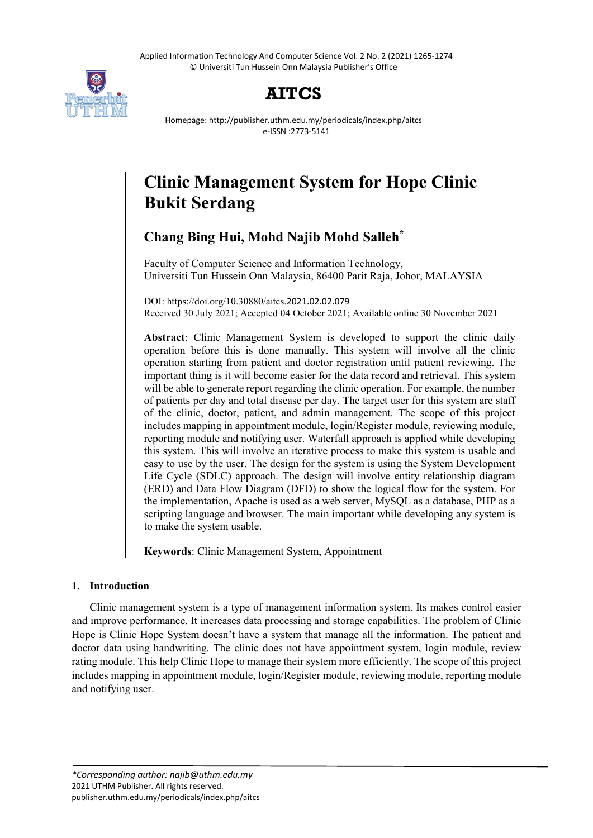Applied Information Technology And Computer Science Vol. 2 No. 2 (2021) 1265-1274 © Universiti Tun Hussein Onn Malaysia Publisher's Office



# **AITCS**

Homepage: http://publisher.uthm.edu.my/periodicals/index.php/aitcs e-ISSN :2773-5141

# **Clinic Management System for Hope Clinic Bukit Serdang**

# **Chang Bing Hui, Mohd Najib Mohd Salleh\***

Faculty of Computer Science and Information Technology, Universiti Tun Hussein Onn Malaysia, 86400 Parit Raja, Johor, MALAYSIA

DOI: https://doi.org/10.30880/aitcs.2021.02.02.079 Received 30 July 2021; Accepted 04 October 2021; Available online 30 November 2021

**Abstract**: Clinic Management System is developed to support the clinic daily operation before this is done manually. This system will involve all the clinic operation starting from patient and doctor registration until patient reviewing. The important thing is it will become easier for the data record and retrieval. This system will be able to generate report regarding the clinic operation. For example, the number of patients per day and total disease per day. The target user for this system are staff of the clinic, doctor, patient, and admin management. The scope of this project includes mapping in appointment module, login/Register module, reviewing module, reporting module and notifying user. Waterfall approach is applied while developing this system. This will involve an iterative process to make this system is usable and easy to use by the user. The design for the system is using the System Development Life Cycle (SDLC) approach. The design will involve entity relationship diagram (ERD) and Data Flow Diagram (DFD) to show the logical flow for the system. For the implementation, Apache is used as a web server, MySQL as a database, PHP as a scripting language and browser. The main important while developing any system is to make the system usable.

**Keywords**: Clinic Management System, Appointment

# **1. Introduction**

Clinic management system is a type of management information system. Its makes control easier and improve performance. It increases data processing and storage capabilities. The problem of Clinic Hope is Clinic Hope System doesn't have a system that manage all the information. The patient and doctor data using handwriting. The clinic does not have appointment system, login module, review rating module. This help Clinic Hope to manage their system more efficiently. The scope of this project includes mapping in appointment module, login/Register module, reviewing module, reporting module and notifying user.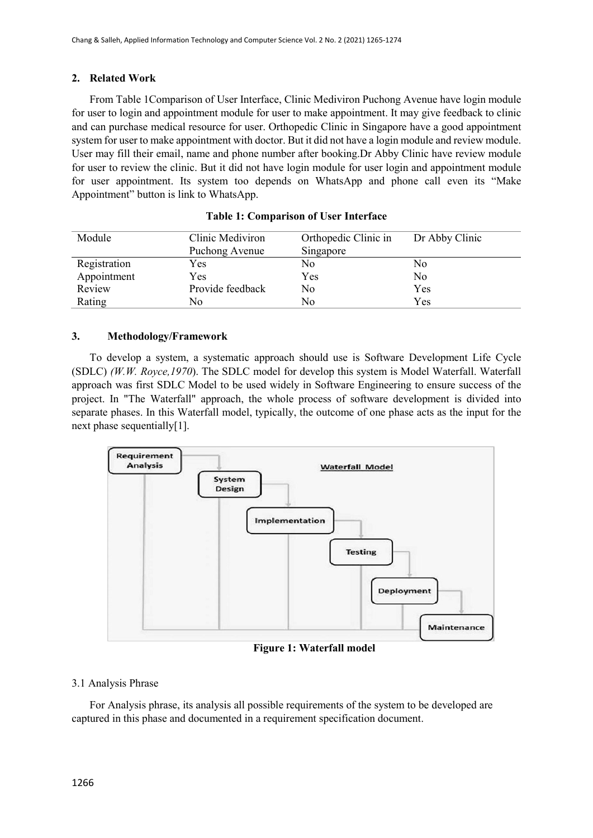# **2. Related Work**

From Table 1Comparison of User Interface, Clinic Mediviron Puchong Avenue have login module for user to login and appointment module for user to make appointment. It may give feedback to clinic and can purchase medical resource for user. Orthopedic Clinic in Singapore have a good appointment system for user to make appointment with doctor. But it did not have a login module and review module. User may fill their email, name and phone number after booking.Dr Abby Clinic have review module for user to review the clinic. But it did not have login module for user login and appointment module for user appointment. Its system too depends on WhatsApp and phone call even its "Make Appointment" button is link to WhatsApp.

| Module       | Clinic Mediviron | Orthopedic Clinic in | Dr Abby Clinic |  |  |
|--------------|------------------|----------------------|----------------|--|--|
|              | Puchong Avenue   | Singapore            |                |  |  |
| Registration | Yes              | No                   | No             |  |  |
| Appointment  | Yes              | Yes                  | No             |  |  |
| Review       | Provide feedback | No                   | Yes            |  |  |
| Rating       | No               | Nο                   | Yes            |  |  |

# **3. Methodology/Framework**

To develop a system, a systematic approach should use is Software Development Life Cycle (SDLC) *(W.W. Royce,1970*). The SDLC model for develop this system is Model Waterfall. Waterfall approach was first SDLC Model to be used widely in Software Engineering to ensure success of the project. In "The Waterfall" approach, the whole process of software development is divided into separate phases. In this Waterfall model, typically, the outcome of one phase acts as the input for the next phase sequentially[1].



**Figure 1: Waterfall model**

# 3.1 Analysis Phrase

For Analysis phrase, its analysis all possible requirements of the system to be developed are captured in this phase and documented in a requirement specification document.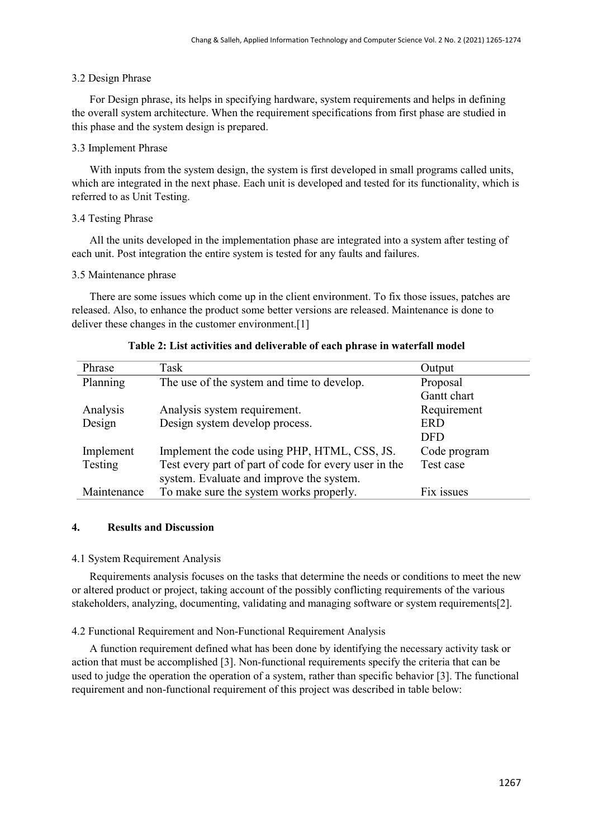#### 3.2 Design Phrase

For Design phrase, its helps in specifying hardware, system requirements and helps in defining the overall system architecture. When the requirement specifications from first phase are studied in this phase and the system design is prepared.

# 3.3 Implement Phrase

With inputs from the system design, the system is first developed in small programs called units, which are integrated in the next phase. Each unit is developed and tested for its functionality, which is referred to as Unit Testing.

# 3.4 Testing Phrase

All the units developed in the implementation phase are integrated into a system after testing of each unit. Post integration the entire system is tested for any faults and failures.

# 3.5 Maintenance phrase

There are some issues which come up in the client environment. To fix those issues, patches are released. Also, to enhance the product some better versions are released. Maintenance is done to deliver these changes in the customer environment.<sup>[1]</sup>

| Phrase      | Task                                                  | Output       |
|-------------|-------------------------------------------------------|--------------|
| Planning    | The use of the system and time to develop.            | Proposal     |
|             |                                                       | Gantt chart  |
| Analysis    | Analysis system requirement.                          | Requirement  |
| Design      | Design system develop process.                        | <b>ERD</b>   |
|             |                                                       | <b>DFD</b>   |
| Implement   | Implement the code using PHP, HTML, CSS, JS.          | Code program |
| Testing     | Test every part of part of code for every user in the | Test case    |
|             | system. Evaluate and improve the system.              |              |
| Maintenance | To make sure the system works properly.               | Fix issues   |

# **Table 2: List activities and deliverable of each phrase in waterfall model**

# **4. Results and Discussion**

#### 4.1 System Requirement Analysis

Requirements analysis focuses on the tasks that determine the needs or conditions to meet the new or altered product or project, taking account of the possibly conflicting requirements of the various stakeholders, analyzing, documenting, validating and managing software or system requirements[2].

# 4.2 Functional Requirement and Non-Functional Requirement Analysis

A function requirement defined what has been done by identifying the necessary activity task or action that must be accomplished [3]. Non-functional requirements specify the criteria that can be used to judge the operation the operation of a system, rather than specific behavior [3]. The functional requirement and non-functional requirement of this project was described in table below: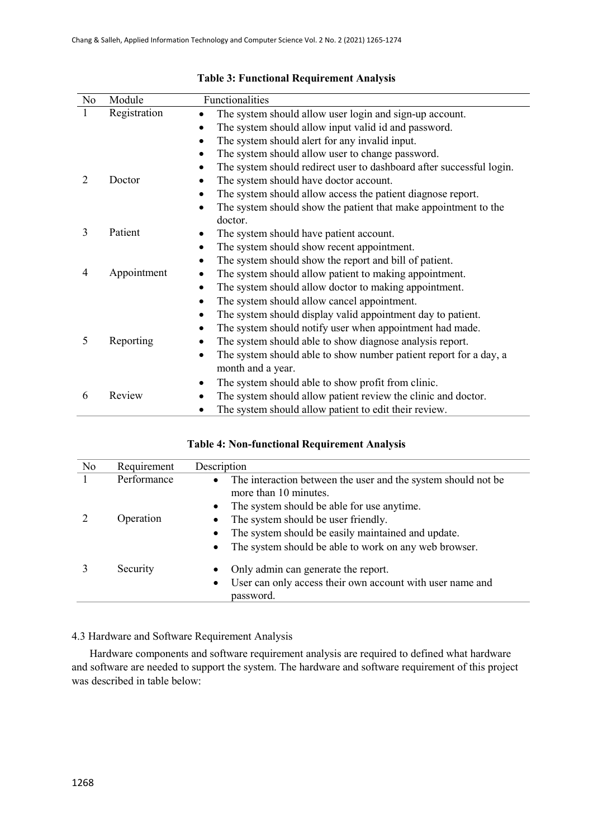| No             | Module       | Functionalities                                                                   |
|----------------|--------------|-----------------------------------------------------------------------------------|
| 1              | Registration | The system should allow user login and sign-up account.<br>$\bullet$              |
|                |              | The system should allow input valid id and password.                              |
|                |              | The system should alert for any invalid input.<br>$\bullet$                       |
|                |              | The system should allow user to change password.<br>$\bullet$                     |
|                |              | The system should redirect user to dashboard after successful login.<br>$\bullet$ |
| $\overline{2}$ | Doctor       | The system should have doctor account.                                            |
|                |              | The system should allow access the patient diagnose report.<br>$\bullet$          |
|                |              | The system should show the patient that make appointment to the<br>$\bullet$      |
|                |              | doctor.                                                                           |
| 3              | Patient      | The system should have patient account.                                           |
|                |              | The system should show recent appointment.<br>$\bullet$                           |
|                |              | The system should show the report and bill of patient.<br>$\bullet$               |
| 4              | Appointment  | The system should allow patient to making appointment.                            |
|                |              | The system should allow doctor to making appointment.<br>$\bullet$                |
|                |              | The system should allow cancel appointment.<br>$\bullet$                          |
|                |              | The system should display valid appointment day to patient.<br>$\bullet$          |
|                |              | The system should notify user when appointment had made.<br>$\bullet$             |
| 5              | Reporting    | The system should able to show diagnose analysis report.<br>$\bullet$             |
|                |              | The system should able to show number patient report for a day, a<br>٠            |
|                |              | month and a year.                                                                 |
|                |              | The system should able to show profit from clinic.<br>$\bullet$                   |
| 6              | Review       | The system should allow patient review the clinic and doctor.                     |
|                |              | The system should allow patient to edit their review.                             |

# **Table 3: Functional Requirement Analysis**

# **Table 4: Non-functional Requirement Analysis**

| No | Requirement | Description                                                                                         |
|----|-------------|-----------------------------------------------------------------------------------------------------|
|    | Performance | The interaction between the user and the system should not be<br>$\bullet$<br>more than 10 minutes. |
|    |             | The system should be able for use anytime.<br>$\bullet$                                             |
|    | Operation   | The system should be user friendly.                                                                 |
|    |             | The system should be easily maintained and update.                                                  |
|    |             | The system should be able to work on any web browser.<br>$\bullet$                                  |
|    | Security    | Only admin can generate the report.<br>$\bullet$                                                    |
|    |             | User can only access their own account with user name and<br>password.                              |

# 4.3 Hardware and Software Requirement Analysis

Hardware components and software requirement analysis are required to defined what hardware and software are needed to support the system. The hardware and software requirement of this project was described in table below: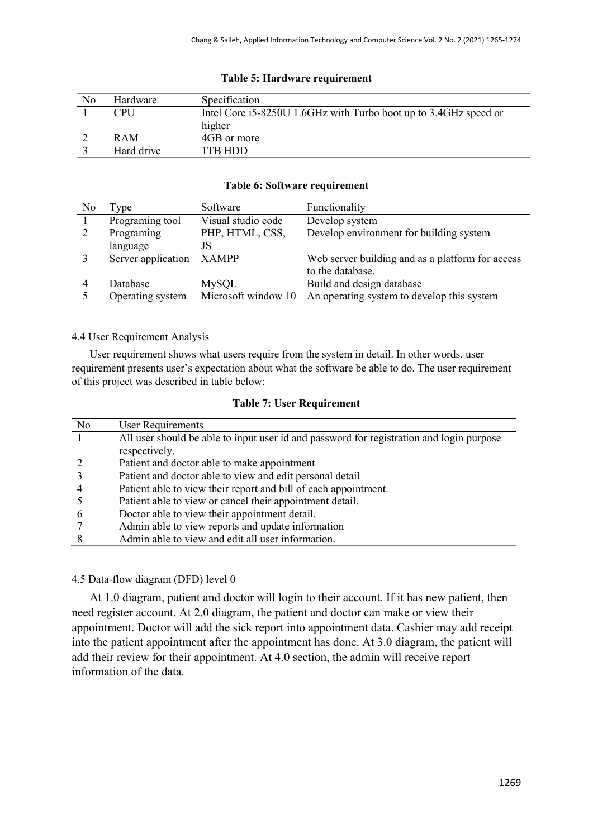| No | Hardware   | Specification                                                    |
|----|------------|------------------------------------------------------------------|
|    | <b>CPU</b> | Intel Core i5-8250U 1.6GHz with Turbo boot up to 3.4GHz speed or |
|    |            | higher                                                           |
|    | <b>RAM</b> | 4GB or more                                                      |
|    | Hard drive | 1TR HDD                                                          |

# **Table 5: Hardware requirement**

#### **Table 6: Software requirement**

| No | l ype              | Software            | Functionality                                    |
|----|--------------------|---------------------|--------------------------------------------------|
|    | Programing tool    | Visual studio code  | Develop system                                   |
|    | Programing         | PHP, HTML, CSS,     | Develop environment for building system          |
|    | language           |                     |                                                  |
|    | Server application | <b>XAMPP</b>        | Web server building and as a platform for access |
|    |                    |                     | to the database.                                 |
|    | Database           | MySQL               | Build and design database                        |
|    | Operating system   | Microsoft window 10 | An operating system to develop this system       |

# 4.4 User Requirement Analysis

User requirement shows what users require from the system in detail. In other words, user requirement presents user's expectation about what the software be able to do. The user requirement of this project was described in table below:

# **Table 7: User Requirement**

| N <sub>0</sub> | <b>User Requirements</b>                                                                 |
|----------------|------------------------------------------------------------------------------------------|
|                | All user should be able to input user id and password for registration and login purpose |
|                | respectively.                                                                            |
|                | Patient and doctor able to make appointment                                              |
|                | Patient and doctor able to view and edit personal detail                                 |
|                | Patient able to view their report and bill of each appointment.                          |
|                | Patient able to view or cancel their appointment detail.                                 |
|                | Doctor able to view their appointment detail.                                            |
|                | Admin able to view reports and update information                                        |
|                | Admin able to view and edit all user information.                                        |

# 4.5 Data-flow diagram (DFD) level 0

At 1.0 diagram, patient and doctor will login to their account. If it has new patient, then need register account. At 2.0 diagram, the patient and doctor can make or view their appointment. Doctor will add the sick report into appointment data. Cashier may add receipt into the patient appointment after the appointment has done. At 3.0 diagram, the patient will add their review for their appointment. At 4.0 section, the admin will receive report information of the data.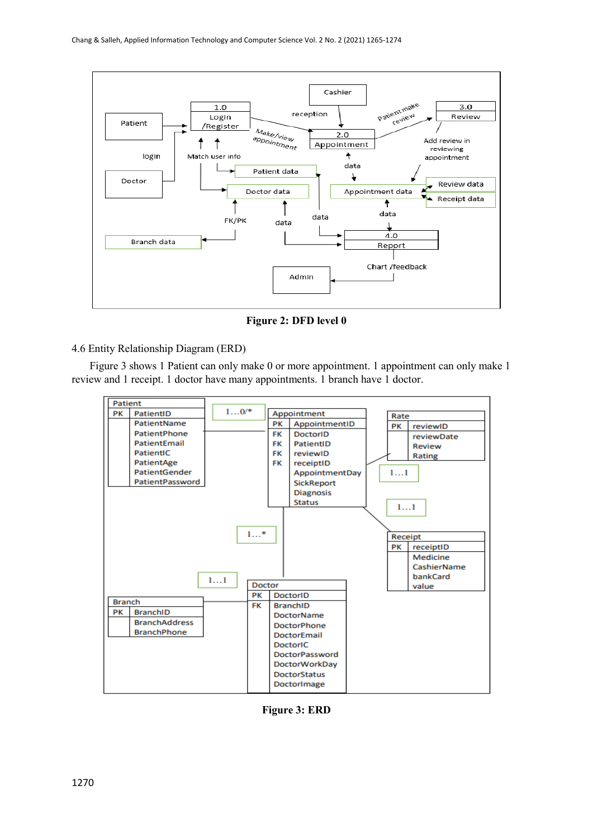

**Figure 2: DFD level 0**

4.6 Entity Relationship Diagram (ERD)

 Figure 3 shows 1 Patient can only make 0 or more appointment. 1 appointment can only make 1 review and 1 receipt. 1 doctor have many appointments. 1 branch have 1 doctor.



**Figure 3: ERD**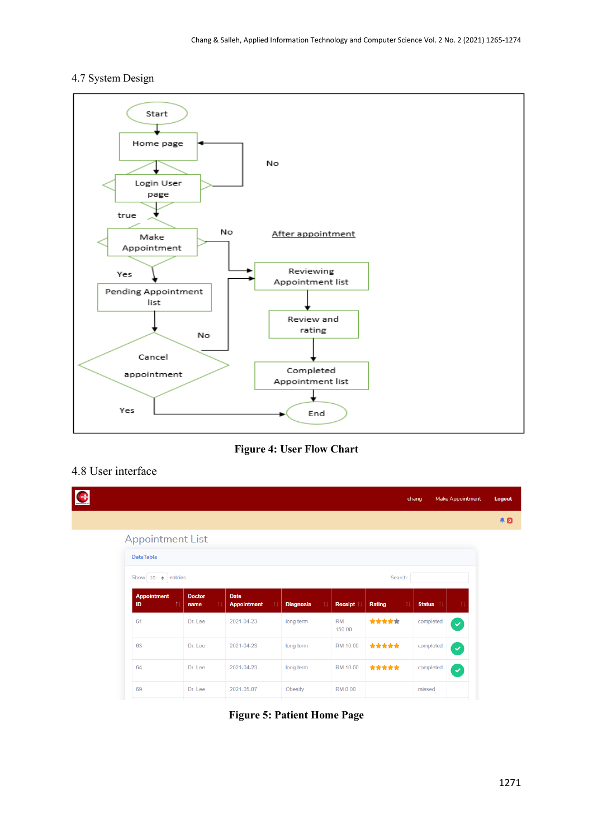# 4.7 System Design



**Figure 4: User Flow Chart**

# 4.8 User interface

|                                        |                             |                                         |                        |                     |              | chang         | <b>Make Appointment</b> |
|----------------------------------------|-----------------------------|-----------------------------------------|------------------------|---------------------|--------------|---------------|-------------------------|
|                                        |                             |                                         |                        |                     |              |               |                         |
| <b>Appointment List</b>                |                             |                                         |                        |                     |              |               |                         |
| <b>DataTable</b>                       |                             |                                         |                        |                     |              |               |                         |
| Show 10 $\div$ entries                 |                             |                                         |                        |                     | Search:      |               |                         |
| <b>Appointment</b><br>ID<br>$\uparrow$ | <b>Doctor</b><br>11<br>name | <b>Date</b><br><b>Appointment</b><br>11 | 11<br><b>Diagnosis</b> | Receipt             | 11<br>Rating | <b>Status</b> | 11                      |
| 61                                     | Dr. Lee                     | 2021-04-23                              | long term              | <b>RM</b><br>150.00 | *****        | completed     | $\blacktriangledown$    |
| 63                                     | Dr. Lee                     | 2021-04-23                              | long term              | RM 10.00            | *****        | completed     | $\checkmark$            |
| 64                                     | Dr. Lee                     | 2021-04-23                              | long term              | RM 10.00            | *****        | completed     | $\blacktriangledown$    |
| 69                                     | Dr. Lee                     | 2021-05-07                              | Obesity                | <b>RM 0.00</b>      |              | missed        |                         |

**Figure 5: Patient Home Page**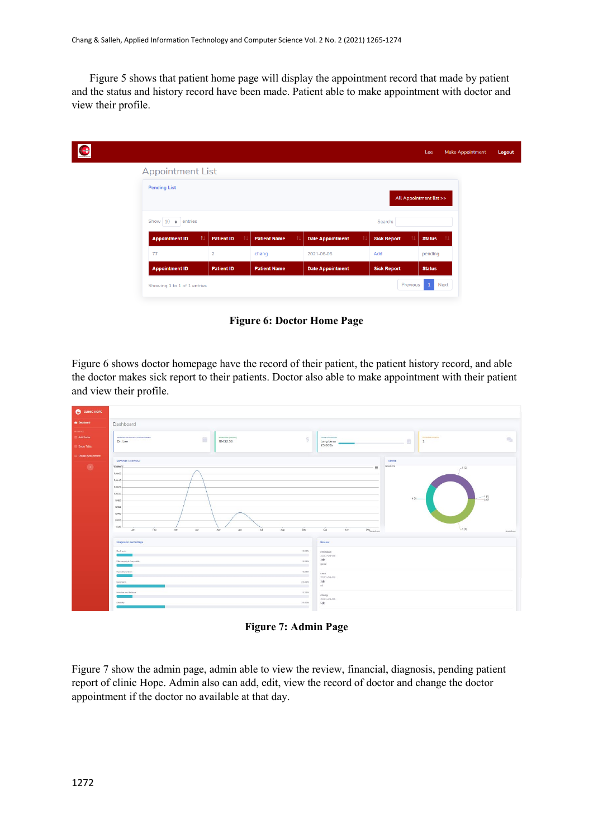Figure 5 shows that patient home page will display the appointment record that made by patient and the status and history record have been made. Patient able to make appointment with doctor and view their profile.

|                                     |                   |                     |                         |                    | Lee                     | <b>Make Appointment</b> |
|-------------------------------------|-------------------|---------------------|-------------------------|--------------------|-------------------------|-------------------------|
| <b>Appointment List</b>             |                   |                     |                         |                    |                         |                         |
| <b>Pending List</b>                 |                   |                     |                         |                    | All Appointment list >> |                         |
| Show $10 \div$ entries              |                   |                     |                         | Search:            |                         |                         |
| $\uparrow$<br><b>Appointment ID</b> | <b>Patient ID</b> | <b>Patient Name</b> | <b>Date Appointment</b> | <b>Sick Report</b> | <b>Status</b>           |                         |
| 77                                  | $\overline{2}$    | chang               | 2021-06-06              | Add                | pending                 |                         |
| <b>Appointment ID</b>               | <b>Patient ID</b> | <b>Patient Name</b> | <b>Date Appointment</b> | <b>Sick Report</b> | <b>Status</b>           |                         |
| Showing 1 to 1 of 1 entries         |                   |                     |                         | Previous           | $\mathbf{1}$<br>Next    |                         |

**Figure 6: Doctor Home Page**

Figure 6 shows doctor homepage have the record of their patient, the patient history record, and able the doctor makes sick report to their patients. Doctor also able to make appointment with their patient and view their profile.

| CLINIC HOPE                                          |                                                                                                                                                                                                              |                                                                                                                                                                       |
|------------------------------------------------------|--------------------------------------------------------------------------------------------------------------------------------------------------------------------------------------------------------------|-----------------------------------------------------------------------------------------------------------------------------------------------------------------------|
| <b>@</b> Dashboard                                   | Dashboard                                                                                                                                                                                                    |                                                                                                                                                                       |
| <b>ACCEPTER</b><br><b>Add Doctor</b><br>Doctor Teble | DOCTOR WITH MOST APPOINTMENT<br>EARNINGS (TODAY)<br>ü<br>RM32.50<br>Dr. Lee                                                                                                                                  | MOST DUAINOSIS<br><b>PENDING INTERNT</b><br>Š<br>$\mathcal{D}_\Delta$<br>$\mathbf{1}$<br>long term<br>25.00%                                                          |
| <b>Change Appointment</b><br>$\circ$                 | Earnings Overview<br><b>PARTED IN</b><br>RM160<br>RM140<br>FM.120<br><b>FIM.100</b><br>RMBO<br>RM60<br>RM40<br>RAGO.<br>RISO.<br>Feb<br>Mar<br>$_{AC}$<br>May<br>Jun<br>$\mathcal{M}$<br>$\lambda$ ug<br>Jan | Rating<br><b>Gevest Trid</b><br>$\equiv$<br>, 5(2)<br>$\leq_2^{(0)}$<br>4(1)<br>$-3(2)$<br>Sep<br>oct<br>Nov<br>Dec <sub>annation</sub><br>Consult com                |
|                                                      | Diagnosis percentage<br>Back pain<br>Pittercroyalgia / mycaltic<br>Hypothyroldism<br>long term<br>Malalas and fatigue<br>Obsolty.                                                                            | Review<br>8.33%<br>changwk<br>2021-06-06<br>3食<br>8,33%<br>good<br>8.33%<br>5050<br>2021-06-03<br>3食<br>25.00%<br>ok.<br>8,33%<br>chang<br>2021-05-06<br>25,03%<br>5食 |

**Figure 7: Admin Page**

Figure 7 show the admin page, admin able to view the review, financial, diagnosis, pending patient report of clinic Hope. Admin also can add, edit, view the record of doctor and change the doctor appointment if the doctor no available at that day.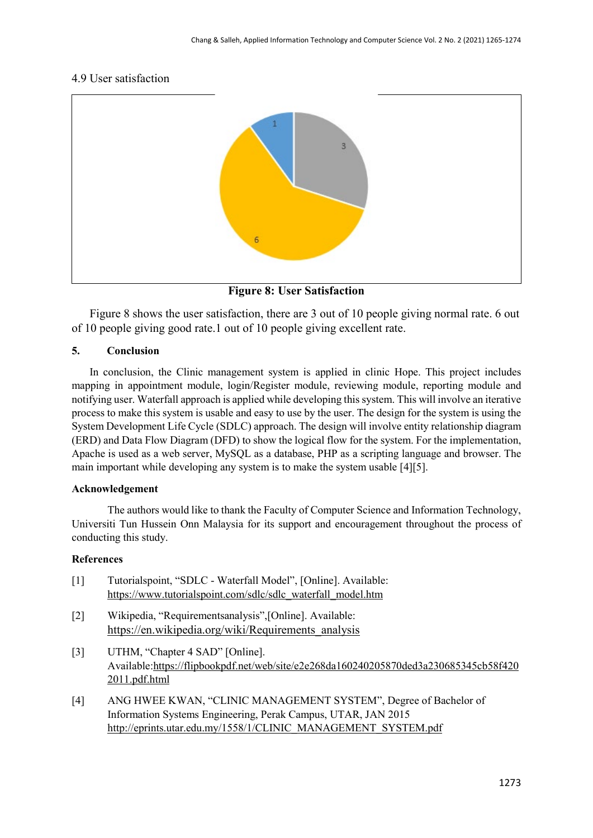# 4.9 User satisfaction



**Figure 8: User Satisfaction** 

Figure 8 shows the user satisfaction, there are 3 out of 10 people giving normal rate. 6 out of 10 people giving good rate.1 out of 10 people giving excellent rate.

# **5. Conclusion**

In conclusion, the Clinic management system is applied in clinic Hope. This project includes mapping in appointment module, login/Register module, reviewing module, reporting module and notifying user. Waterfall approach is applied while developing this system. This will involve an iterative process to make this system is usable and easy to use by the user. The design for the system is using the System Development Life Cycle (SDLC) approach. The design will involve entity relationship diagram (ERD) and Data Flow Diagram (DFD) to show the logical flow for the system. For the implementation, Apache is used as a web server, MySQL as a database, PHP as a scripting language and browser. The main important while developing any system is to make the system usable [4][5].

# **Acknowledgement**

The authors would like to thank the Faculty of Computer Science and Information Technology, Universiti Tun Hussein Onn Malaysia for its support and encouragement throughout the process of conducting this study.

# **References**

| $[1]$ | Tutorialspoint, "SDLC - Waterfall Model", [Online]. Available: |
|-------|----------------------------------------------------------------|
|       | https://www.tutorialspoint.com/sdlc/sdlc waterfall model.htm   |

- [2] Wikipedia, "Requirementsanalysis",[Online]. Available: [https://en.wikipedia.org/wiki/Requirements\\_analysis](https://en.wikipedia.org/wiki/Requirements_analysis)
- [3] UTHM, "Chapter 4 SAD" [Online]. Available[:https://flipbookpdf.net/web/site/e2e268da160240205870ded3a230685345cb58f420](https://flipbookpdf.net/web/site/e2e268da160240205870ded3a230685345cb58f4202011.pdf.html) [2011.pdf.html](https://flipbookpdf.net/web/site/e2e268da160240205870ded3a230685345cb58f4202011.pdf.html)
- [4] ANG HWEE KWAN, "CLINIC MANAGEMENT SYSTEM", Degree of Bachelor of Information Systems Engineering, Perak Campus, UTAR, JAN 2015 [http://eprints.utar.edu.my/1558/1/CLINIC\\_MANAGEMENT\\_SYSTEM.pdf](http://eprints.utar.edu.my/1558/1/CLINIC_MANAGEMENT_SYSTEM.pdf)